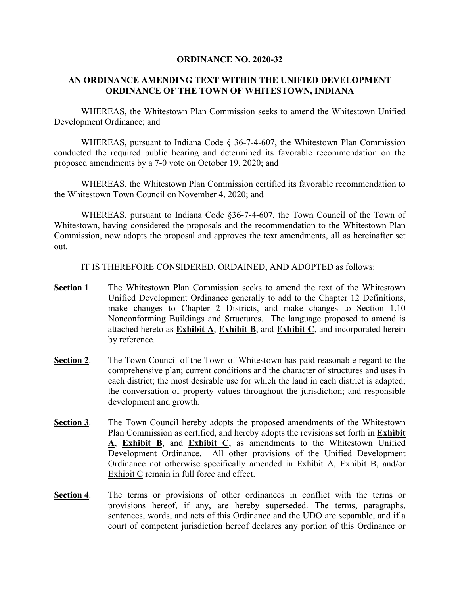#### **ORDINANCE NO. 2020-32**

#### **AN ORDINANCE AMENDING TEXT WITHIN THE UNIFIED DEVELOPMENT ORDINANCE OF THE TOWN OF WHITESTOWN, INDIANA**

WHEREAS, the Whitestown Plan Commission seeks to amend the Whitestown Unified Development Ordinance; and

WHEREAS, pursuant to Indiana Code § 36-7-4-607, the Whitestown Plan Commission conducted the required public hearing and determined its favorable recommendation on the proposed amendments by a 7-0 vote on October 19, 2020; and

WHEREAS, the Whitestown Plan Commission certified its favorable recommendation to the Whitestown Town Council on November 4, 2020; and

WHEREAS, pursuant to Indiana Code §36-7-4-607, the Town Council of the Town of Whitestown, having considered the proposals and the recommendation to the Whitestown Plan Commission, now adopts the proposal and approves the text amendments, all as hereinafter set out.

IT IS THEREFORE CONSIDERED, ORDAINED, AND ADOPTED as follows:

- **Section 1**. The Whitestown Plan Commission seeks to amend the text of the Whitestown Unified Development Ordinance generally to add to the Chapter 12 Definitions, make changes to Chapter 2 Districts, and make changes to Section 1.10 Nonconforming Buildings and Structures. The language proposed to amend is attached hereto as **Exhibit A**, **Exhibit B**, and **Exhibit C**, and incorporated herein by reference.
- **Section 2.** The Town Council of the Town of Whitestown has paid reasonable regard to the comprehensive plan; current conditions and the character of structures and uses in each district; the most desirable use for which the land in each district is adapted; the conversation of property values throughout the jurisdiction; and responsible development and growth.
- **Section 3**. The Town Council hereby adopts the proposed amendments of the Whitestown Plan Commission as certified, and hereby adopts the revisions set forth in **Exhibit A**, **Exhibit B**, and **Exhibit C**, as amendments to the Whitestown Unified Development Ordinance. All other provisions of the Unified Development Ordinance not otherwise specifically amended in Exhibit A, Exhibit B, and/or Exhibit C remain in full force and effect.
- **Section 4**. The terms or provisions of other ordinances in conflict with the terms or provisions hereof, if any, are hereby superseded. The terms, paragraphs, sentences, words, and acts of this Ordinance and the UDO are separable, and if a court of competent jurisdiction hereof declares any portion of this Ordinance or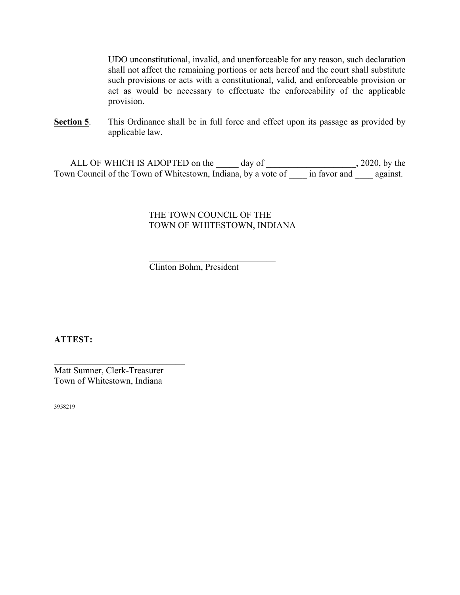UDO unconstitutional, invalid, and unenforceable for any reason, such declaration shall not affect the remaining portions or acts hereof and the court shall substitute such provisions or acts with a constitutional, valid, and enforceable provision or act as would be necessary to effectuate the enforceability of the applicable provision.

**Section 5.** This Ordinance shall be in full force and effect upon its passage as provided by applicable law.

ALL OF WHICH IS ADOPTED on the \_\_\_\_\_ day of \_\_\_\_\_\_\_\_\_\_\_\_\_\_\_\_\_\_\_, 2020, by the Town Council of the Town of Whitestown, Indiana, by a vote of \_\_\_\_ in favor and \_\_\_\_ against.

### THE TOWN COUNCIL OF THE TOWN OF WHITESTOWN, INDIANA

Clinton Bohm, President

**ATTEST:**

Matt Sumner, Clerk-Treasurer Town of Whitestown, Indiana

 $\mathcal{L}_\mathcal{L}$  , which is a set of the set of the set of the set of the set of the set of the set of the set of the set of the set of the set of the set of the set of the set of the set of the set of the set of the set of

3958219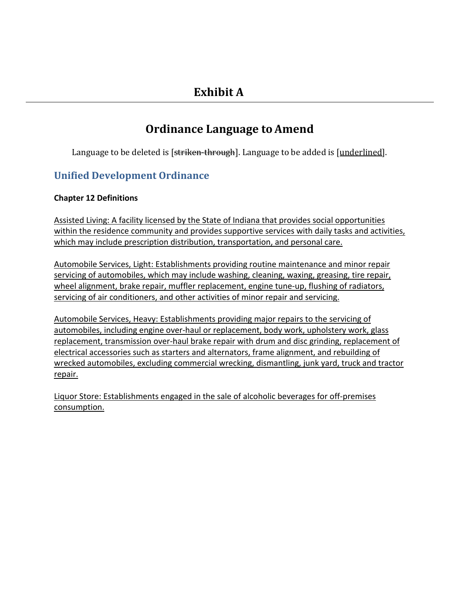# **Ordinance Language toAmend**

Language to be deleted is [striken-through]. Language to be added is [underlined].

## **Unified Development Ordinance**

## **Chapter 12 Definitions**

Assisted Living: A facility licensed by the State of Indiana that provides social opportunities within the residence community and provides supportive services with daily tasks and activities, which may include prescription distribution, transportation, and personal care.

Automobile Services, Light: Establishments providing routine maintenance and minor repair servicing of automobiles, which may include washing, cleaning, waxing, greasing, tire repair, wheel alignment, brake repair, muffler replacement, engine tune-up, flushing of radiators, servicing of air conditioners, and other activities of minor repair and servicing.

Automobile Services, Heavy: Establishments providing major repairs to the servicing of automobiles, including engine over-haul or replacement, body work, upholstery work, glass replacement, transmission over-haul brake repair with drum and disc grinding, replacement of electrical accessories such as starters and alternators, frame alignment, and rebuilding of wrecked automobiles, excluding commercial wrecking, dismantling, junk yard, truck and tractor repair.

Liquor Store: Establishments engaged in the sale of alcoholic beverages for off-premises consumption.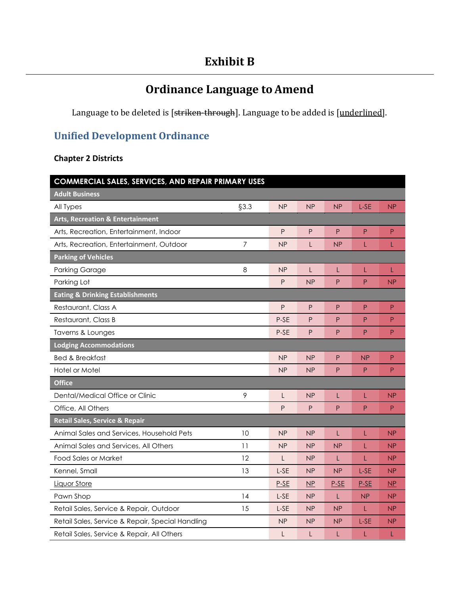## **Exhibit B**

# **Ordinance Language to Amend**

Language to be deleted is [striken-through]. Language to be added is [underlined].

## **Unified Development Ordinance**

### **Chapter 2 Districts**

| COMMERCIAL SALES, SERVICES, AND REPAIR PRIMARY USES |                |                |                 |                |              |                        |
|-----------------------------------------------------|----------------|----------------|-----------------|----------------|--------------|------------------------|
| <b>Adult Business</b>                               |                |                |                 |                |              |                        |
| All Types                                           | §3.3           | NP             | <b>NP</b>       | NP             | L-SE         | NP                     |
| <b>Arts, Recreation &amp; Entertainment</b>         |                |                |                 |                |              |                        |
| Arts, Recreation, Entertainment, Indoor             |                | ${\sf P}$      | P               | P              | $\mathsf{P}$ | $\mathsf{P}$           |
| Arts, Recreation, Entertainment, Outdoor            | $\overline{7}$ | NP             | L               | NP             | L            | L                      |
| <b>Parking of Vehicles</b>                          |                |                |                 |                |              |                        |
| <b>Parking Garage</b>                               | 8              | NP             | L               | L              | L            | L                      |
| Parking Lot                                         |                | ${\sf P}$      | NP              | P              | P            | <b>NP</b>              |
| <b>Eating &amp; Drinking Establishments</b>         |                |                |                 |                |              |                        |
| Restaurant, Class A                                 |                | P              | P               | P              | P            | P                      |
| Restaurant, Class B                                 |                | P-SE           | $\mathsf{P}$    | P              | $\mathsf{P}$ | P                      |
| Taverns & Lounges                                   |                | P-SE           | P               | P              | P            | P                      |
| <b>Lodging Accommodations</b>                       |                |                |                 |                |              |                        |
| <b>Bed &amp; Breakfast</b>                          |                | NP             | NP              | P              | NP           | P                      |
| Hotel or Motel                                      |                | NP             | <b>NP</b>       | P              | P            | P                      |
| <b>Office</b>                                       |                |                |                 |                |              |                        |
| Dental/Medical Office or Clinic                     | 9              | L              | <b>NP</b>       | L              | L            | NP                     |
| Office, All Others                                  |                | P              | P               | P              | P            | P                      |
| Retail Sales, Service & Repair                      |                |                |                 |                |              |                        |
| Animal Sales and Services, Household Pets           | 10             | N <sub>P</sub> | N <sub>P</sub>  | L              | L            | NP                     |
| Animal Sales and Services, All Others               | 11             | NP             | NP              | NP             | L            | NP                     |
| Food Sales or Market                                | 12             | L              | NP              | L              | L            | NP                     |
| Kennel, Small                                       | 13             | L-SE           | NP              | <b>NP</b>      | L-SE         | NP                     |
| <b>Liquor Store</b>                                 |                | $P-SE$         | $\overline{MP}$ | $P-SE$         | $P-SE$       | $\overline{\text{NP}}$ |
| Pawn Shop                                           | 14             | L-SE           | <b>NP</b>       | L              | NP           | NP                     |
| Retail Sales, Service & Repair, Outdoor             | 15             | L-SE           | NP              | NP             | L            | NP                     |
| Retail Sales, Service & Repair, Special Handling    |                | <b>NP</b>      | <b>NP</b>       | N <sub>P</sub> | L-SE         | N <sub>P</sub>         |
| Retail Sales, Service & Repair, All Others          |                | L              | L               | L              | L            |                        |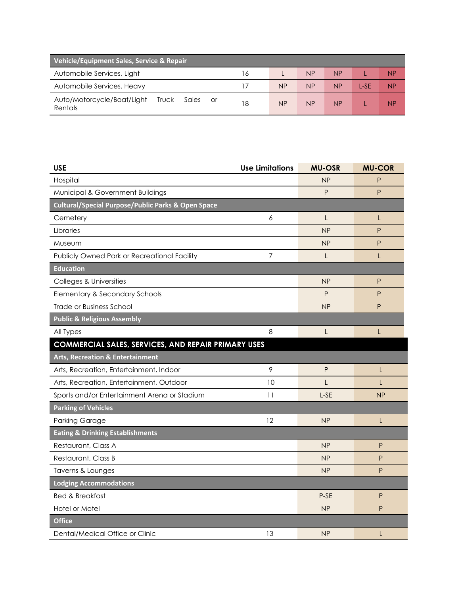| Vehicle/Equipment Sales, Service & Repair                     |    |           |           |    |      |    |
|---------------------------------------------------------------|----|-----------|-----------|----|------|----|
| Automobile Services, Light                                    | 16 |           | <b>NP</b> | NP |      | ΝP |
| Automobile Services, Heavy                                    |    | <b>NP</b> | <b>NP</b> | NP | L-SF | ΝP |
| Auto/Motorcycle/Boat/Light<br>Truck<br>Sales<br>or<br>Rentals | 18 | <b>NP</b> | <b>NP</b> | NP |      | ΝP |

| <b>USE</b>                                                    | <b>Use Limitations</b> | <b>MU-OSR</b> | <b>MU-COR</b> |
|---------------------------------------------------------------|------------------------|---------------|---------------|
| Hospital                                                      |                        | NP            | P             |
| Municipal & Government Buildings                              |                        | P             | P             |
| <b>Cultural/Special Purpose/Public Parks &amp; Open Space</b> |                        |               |               |
| Cemetery                                                      | 6                      | L             | L             |
| Libraries                                                     |                        | NP            | P             |
| Museum                                                        |                        | NP            | P             |
| Publicly Owned Park or Recreational Facility                  | 7                      | L             | L             |
| <b>Education</b>                                              |                        |               |               |
| Colleges & Universities                                       |                        | NP            | P             |
| Elementary & Secondary Schools                                |                        | P             | P             |
| <b>Trade or Business School</b>                               |                        | NP            | P             |
| <b>Public &amp; Religious Assembly</b>                        |                        |               |               |
| All Types                                                     | 8                      | L             | L             |
| <b>COMMERCIAL SALES, SERVICES, AND REPAIR PRIMARY USES</b>    |                        |               |               |
| <b>Arts, Recreation &amp; Entertainment</b>                   |                        |               |               |
| Arts, Recreation, Entertainment, Indoor                       | 9                      | P             | L             |
| Arts, Recreation, Entertainment, Outdoor                      | 10                     | L             | L             |
| Sports and/or Entertainment Arena or Stadium                  | 11                     | L-SE          | <b>NP</b>     |
| <b>Parking of Vehicles</b>                                    |                        |               |               |
| <b>Parking Garage</b>                                         | 12                     | NP            | L             |
| <b>Eating &amp; Drinking Establishments</b>                   |                        |               |               |
| Restaurant, Class A                                           |                        | NP            | P             |
| Restaurant, Class B                                           |                        | NP            | P             |
| Taverns & Lounges                                             |                        | NP            | P             |
| <b>Lodging Accommodations</b>                                 |                        |               |               |
| <b>Bed &amp; Breakfast</b>                                    |                        | P-SE          | P             |
| Hotel or Motel                                                |                        | NP            | P             |
| <b>Office</b>                                                 |                        |               |               |
| Dental/Medical Office or Clinic                               | 13                     | NP            | L             |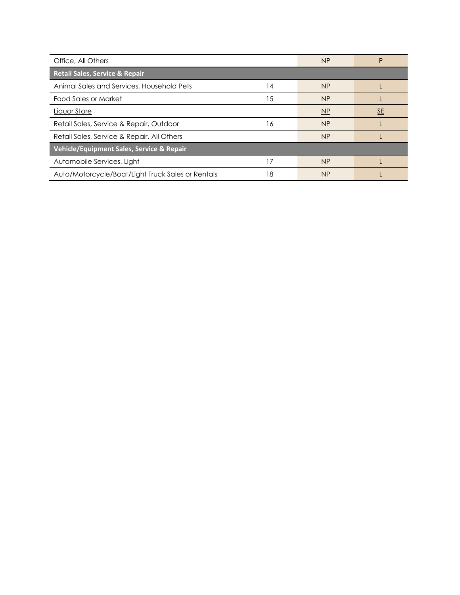| Office, All Others                                |    | NP        | P         |
|---------------------------------------------------|----|-----------|-----------|
| <b>Retail Sales, Service &amp; Repair</b>         |    |           |           |
| Animal Sales and Services, Household Pets         | 14 | <b>NP</b> |           |
| <b>Food Sales or Market</b>                       | 15 | NP        |           |
| Liquor Store                                      |    | NP        | <u>SE</u> |
| Retail Sales, Service & Repair, Outdoor           | 16 | NP        |           |
| Retail Sales, Service & Repair, All Others        |    | NP        |           |
| Vehicle/Equipment Sales, Service & Repair         |    |           |           |
| Automobile Services, Light                        | 17 | NP        |           |
| Auto/Motorcycle/Boat/Light Truck Sales or Rentals | 18 | <b>NP</b> |           |